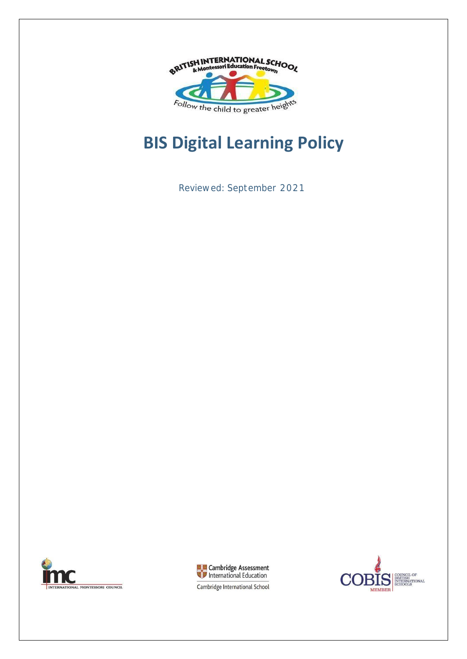

# **BIS Digital Learning Policy**

Reviewed: September 2021





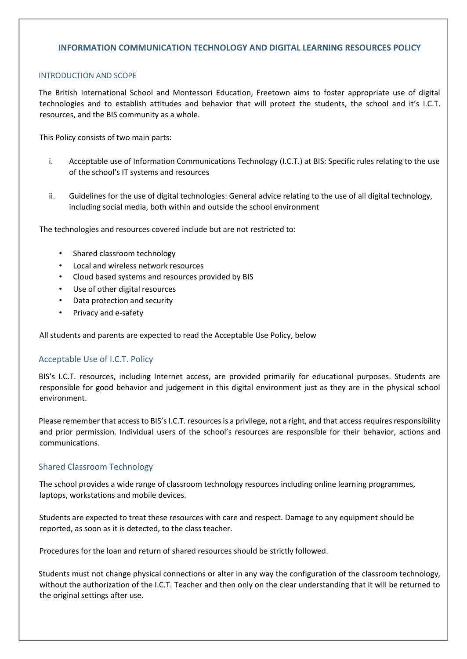# **INFORMATION COMMUNICATION TECHNOLOGY AND DIGITAL LEARNING RESOURCES POLICY**

#### INTRODUCTION AND SCOPE

The British International School and Montessori Education, Freetown aims to foster appropriate use of digital technologies and to establish attitudes and behavior that will protect the students, the school and it's I.C.T. resources, and the BIS community as a whole.

This Policy consists of two main parts:

- i. Acceptable use of Information Communications Technology (I.C.T.) at BIS: Specific rules relating to the use of the school's IT systems and resources
- ii. Guidelines for the use of digital technologies: General advice relating to the use of all digital technology, including social media, both within and outside the school environment

The technologies and resources covered include but are not restricted to:

- Shared classroom technology
- Local and wireless network resources
- Cloud based systems and resources provided by BIS
- Use of other digital resources
- Data protection and security
- Privacy and e-safety

All students and parents are expected to read the Acceptable Use Policy, below

#### Acceptable Use of I.C.T. Policy

BIS's I.C.T. resources, including Internet access, are provided primarily for educational purposes. Students are responsible for good behavior and judgement in this digital environment just as they are in the physical school environment.

Please remember that access to BIS's I.C.T. resources is a privilege, not a right, and that access requires responsibility and prior permission. Individual users of the school's resources are responsible for their behavior, actions and communications.

#### Shared Classroom Technology

The school provides a wide range of classroom technology resources including online learning programmes, laptops, workstations and mobile devices.

Students are expected to treat these resources with care and respect. Damage to any equipment should be reported, as soon as it is detected, to the class teacher.

Procedures for the loan and return of shared resources should be strictly followed.

Students must not change physical connections or alter in any way the configuration of the classroom technology, without the authorization of the I.C.T. Teacher and then only on the clear understanding that it will be returned to the original settings after use.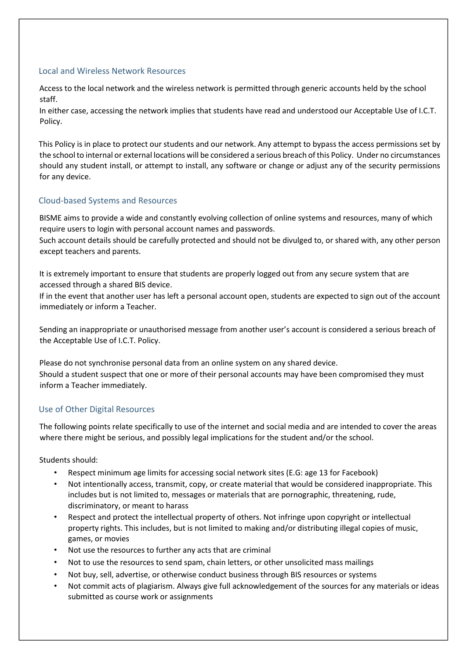## Local and Wireless Network Resources

Access to the local network and the wireless network is permitted through generic accounts held by the school staff.

In either case, accessing the network implies that students have read and understood our Acceptable Use of I.C.T. Policy.

This Policy is in place to protect our students and our network. Any attempt to bypass the access permissions set by the school to internal or external locations will be considered a serious breach of this Policy. Under no circumstances should any student install, or attempt to install, any software or change or adjust any of the security permissions for any device.

# Cloud-based Systems and Resources

BISME aims to provide a wide and constantly evolving collection of online systems and resources, many of which require users to login with personal account names and passwords.

Such account details should be carefully protected and should not be divulged to, or shared with, any other person except teachers and parents.

It is extremely important to ensure that students are properly logged out from any secure system that are accessed through a shared BIS device.

If in the event that another user has left a personal account open, students are expected to sign out of the account immediately or inform a Teacher.

Sending an inappropriate or unauthorised message from another user's account is considered a serious breach of the Acceptable Use of I.C.T. Policy.

Please do not synchronise personal data from an online system on any shared device. Should a student suspect that one or more of their personal accounts may have been compromised they must inform a Teacher immediately.

## Use of Other Digital Resources

The following points relate specifically to use of the internet and social media and are intended to cover the areas where there might be serious, and possibly legal implications for the student and/or the school.

Students should:

- Respect minimum age limits for accessing social network sites (E.G: age 13 for Facebook)
- Not intentionally access, transmit, copy, or create material that would be considered inappropriate. This includes but is not limited to, messages or materials that are pornographic, threatening, rude, discriminatory, or meant to harass
- Respect and protect the intellectual property of others. Not infringe upon copyright or intellectual property rights. This includes, but is not limited to making and/or distributing illegal copies of music, games, or movies
- Not use the resources to further any acts that are criminal
- Not to use the resources to send spam, chain letters, or other unsolicited mass mailings
- Not buy, sell, advertise, or otherwise conduct business through BIS resources or systems
- Not commit acts of plagiarism. Always give full acknowledgement of the sources for any materials or ideas submitted as course work or assignments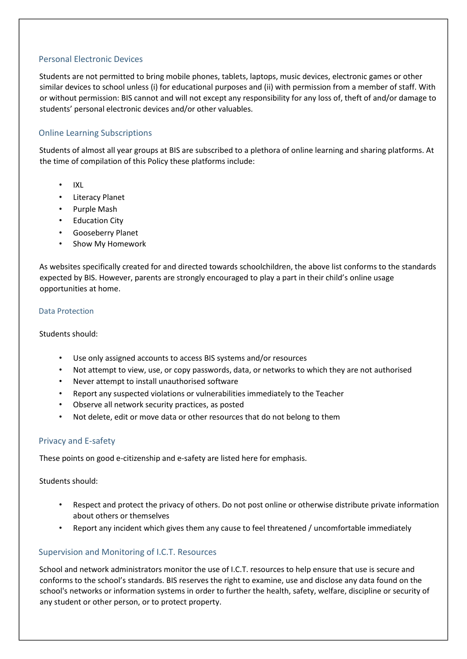## Personal Electronic Devices

Students are not permitted to bring mobile phones, tablets, laptops, music devices, electronic games or other similar devices to school unless (i) for educational purposes and (ii) with permission from a member of staff. With or without permission: BIS cannot and will not except any responsibility for any loss of, theft of and/or damage to students' personal electronic devices and/or other valuables.

# Online Learning Subscriptions

Students of almost all year groups at BIS are subscribed to a plethora of online learning and sharing platforms. At the time of compilation of this Policy these platforms include:

- IXL
- Literacy Planet
- Purple Mash
- Education City
- Gooseberry Planet
- Show My Homework

As websites specifically created for and directed towards schoolchildren, the above list conforms to the standards expected by BIS. However, parents are strongly encouraged to play a part in their child's online usage opportunities at home.

#### Data Protection

Students should:

- Use only assigned accounts to access BIS systems and/or resources
- Not attempt to view, use, or copy passwords, data, or networks to which they are not authorised
- Never attempt to install unauthorised software
- Report any suspected violations or vulnerabilities immediately to the Teacher
- Observe all network security practices, as posted
- Not delete, edit or move data or other resources that do not belong to them

#### Privacy and E-safety

These points on good e-citizenship and e-safety are listed here for emphasis.

Students should:

- Respect and protect the privacy of others. Do not post online or otherwise distribute private information about others or themselves
- Report any incident which gives them any cause to feel threatened / uncomfortable immediately

## Supervision and Monitoring of I.C.T. Resources

School and network administrators monitor the use of I.C.T. resources to help ensure that use is secure and conforms to the school's standards. BIS reserves the right to examine, use and disclose any data found on the school's networks or information systems in order to further the health, safety, welfare, discipline or security of any student or other person, or to protect property.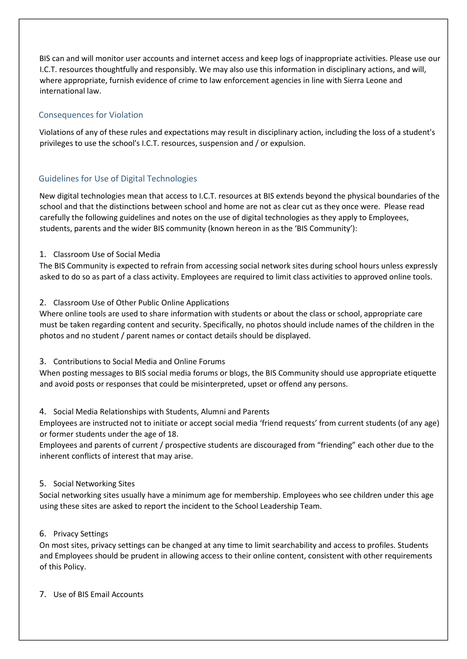BIS can and will monitor user accounts and internet access and keep logs of inappropriate activities. Please use our I.C.T. resources thoughtfully and responsibly. We may also use this information in disciplinary actions, and will, where appropriate, furnish evidence of crime to law enforcement agencies in line with Sierra Leone and international law.

# Consequences for Violation

Violations of any of these rules and expectations may result in disciplinary action, including the loss of a student's privileges to use the school's I.C.T. resources, suspension and / or expulsion.

# Guidelines for Use of Digital Technologies

New digital technologies mean that access to I.C.T. resources at BIS extends beyond the physical boundaries of the school and that the distinctions between school and home are not as clear cut as they once were. Please read carefully the following guidelines and notes on the use of digital technologies as they apply to Employees, students, parents and the wider BIS community (known hereon in as the 'BIS Community'):

# 1. Classroom Use of Social Media

The BIS Community is expected to refrain from accessing social network sites during school hours unless expressly asked to do so as part of a class activity. Employees are required to limit class activities to approved online tools.

# 2. Classroom Use of Other Public Online Applications

Where online tools are used to share information with students or about the class or school, appropriate care must be taken regarding content and security. Specifically, no photos should include names of the children in the photos and no student / parent names or contact details should be displayed.

## 3. Contributions to Social Media and Online Forums

When posting messages to BIS social media forums or blogs, the BIS Community should use appropriate etiquette and avoid posts or responses that could be misinterpreted, upset or offend any persons.

# 4. Social Media Relationships with Students, Alumni and Parents

Employees are instructed not to initiate or accept social media 'friend requests' from current students (of any age) or former students under the age of 18.

Employees and parents of current / prospective students are discouraged from "friending" each other due to the inherent conflicts of interest that may arise.

## 5. Social Networking Sites

Social networking sites usually have a minimum age for membership. Employees who see children under this age using these sites are asked to report the incident to the School Leadership Team.

## 6. Privacy Settings

On most sites, privacy settings can be changed at any time to limit searchability and access to profiles. Students and Employees should be prudent in allowing access to their online content, consistent with other requirements of this Policy.

## 7. Use of BIS Email Accounts